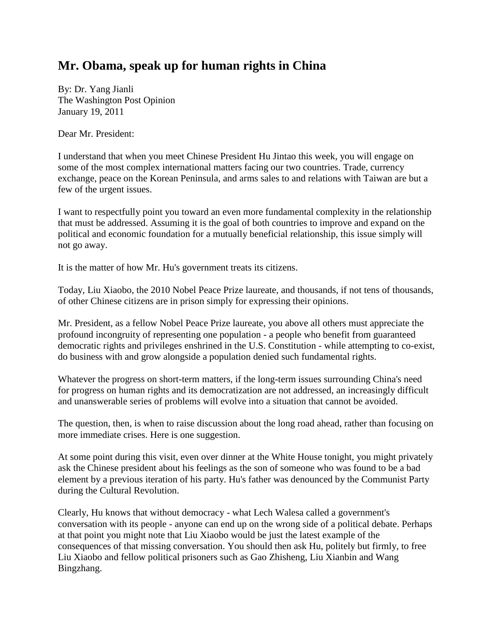## **Mr. Obama, speak up for human rights in China**

By: Dr. Yang Jianli The Washington Post Opinion January 19, 2011

Dear Mr. President:

I understand that when you meet Chinese President Hu Jintao this week, you will engage on some of the most complex international matters facing our two countries. Trade, currency exchange, peace on the Korean Peninsula, and arms sales to and relations with Taiwan are but a few of the urgent issues.

I want to respectfully point you toward an even more fundamental complexity in the relationship that must be addressed. Assuming it is the goal of both countries to improve and expand on the political and economic foundation for a mutually beneficial relationship, this issue simply will not go away.

It is the matter of how Mr. Hu's government treats its citizens.

Today, Liu Xiaobo, the 2010 Nobel Peace Prize laureate, and thousands, if not tens of thousands, of other Chinese citizens are in prison simply for expressing their opinions.

Mr. President, as a fellow Nobel Peace Prize laureate, you above all others must appreciate the profound incongruity of representing one population - a people who benefit from guaranteed democratic rights and privileges enshrined in the U.S. Constitution - while attempting to co-exist, do business with and grow alongside a population denied such fundamental rights.

Whatever the progress on short-term matters, if the long-term issues surrounding China's need for progress on human rights and its democratization are not addressed, an increasingly difficult and unanswerable series of problems will evolve into a situation that cannot be avoided.

The question, then, is when to raise discussion about the long road ahead, rather than focusing on more immediate crises. Here is one suggestion.

At some point during this visit, even over dinner at the White House tonight, you might privately ask the Chinese president about his feelings as the son of someone who was found to be a bad element by a previous iteration of his party. Hu's father was denounced by the Communist Party during the Cultural Revolution.

Clearly, Hu knows that without democracy - what Lech Walesa called a government's conversation with its people - anyone can end up on the wrong side of a political debate. Perhaps at that point you might note that Liu Xiaobo would be just the latest example of the consequences of that missing conversation. You should then ask Hu, politely but firmly, to free Liu Xiaobo and fellow political prisoners such as Gao Zhisheng, Liu Xianbin and Wang Bingzhang.